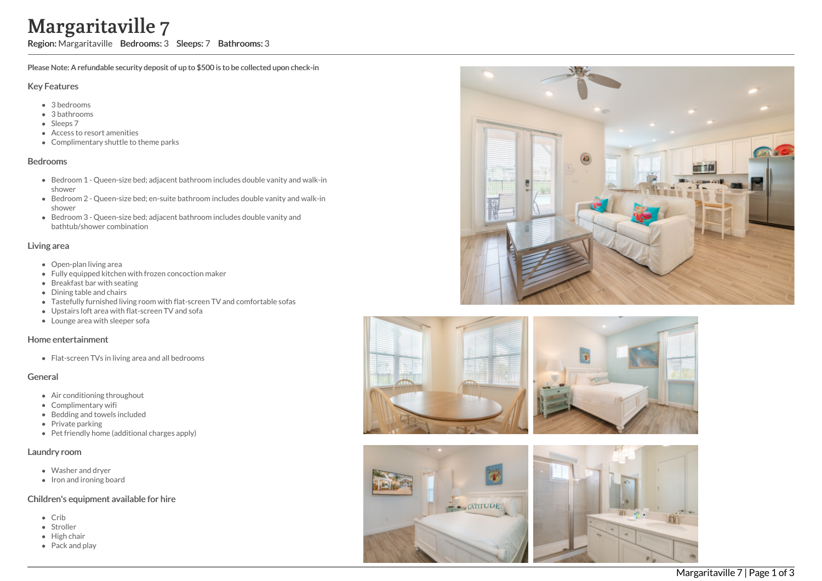# Margaritaville 7

Region: Margaritaville Bedrooms: 3 Sleeps: 7 Bathrooms: 3

Please Note: A refundable security deposit of up to \$500 is to be collected upon check-in

#### Key Features

- 3 b e d r o o m s
- 3 bathrooms
- Sleeps 7
- Access to resort amenities
- Complimentary shuttle to theme parks

#### **Bedrooms**

- Bedroom 1 Queen-size bed; adjacent bathroom includes double vanity and walk-in s h o w e r
- Bedroom 2 Queen-size bed; en-suite bathroom includes double vanity and walk-in s h o w e r
- Bedroom 3 Queen-size bed; adjacent bathroom includes double vanity and bathtub/shower combination

#### Living area

- Open-plan living area
- Fully equipped kitchen with frozen concoction maker
- Breakfast bar with seating
- Dining table and chairs
- Tastefully furnished living room with flat-screen TV and comfortable sofas
- Upstairs loft area with flat-screen TV and sofa
- Lounge area with sleeper sofa

## Home entertainment

Flat-screen TVs in living area and all bedrooms

## General

- Air conditioning throughout
- Complimentary wifi
- Bedding and towels in clu d e d
- Private parking
- Pet friendly home (additional charges apply)

#### Laundry room

- Washer and dryer
- Iron and ironing board

## Children's equipment available for hire

- C rib
- Stroller
- Hig h c h air
- Pack and play





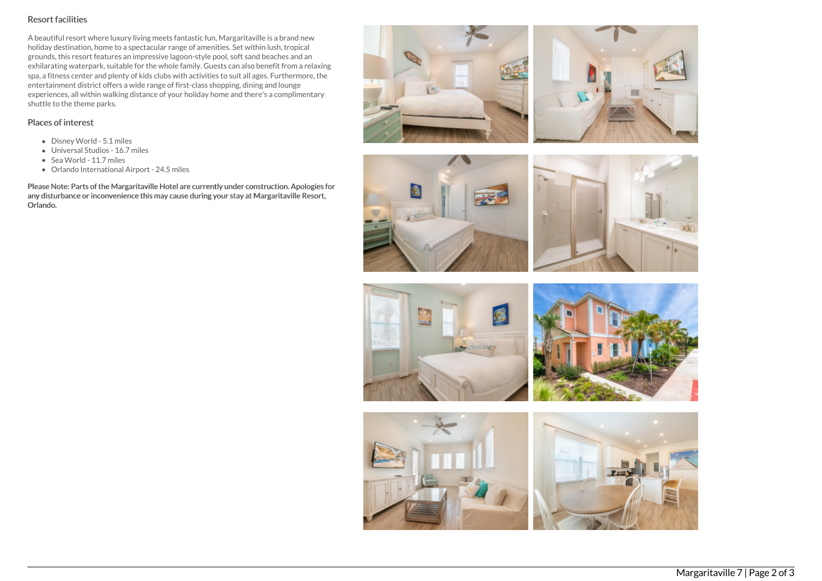# Resort facilities

A beautiful resort where luxury living meets fantastic fun, Margaritaville is a brand new holiday destination, home to a spectacular range of amenities. Set within lush, tropical grounds, this resort features an impressive lagoon-style pool, soft sand beaches and an exhilarating waterpark, suitable for the whole family. Guests can also benefit from a relaxing spa, a fitness center and plenty of kids clubs with activities to suit all ages. Furthermore, the entertainment district offers a wide range of first-class shopping, dining and lounge experiences, all within walking distance of your holiday home and there's a complimentary shuttle to the theme parks.

# Places of interest

- Disney World 5.1 miles
- Universal Studios 16.7 miles
- Sea World 11.7 miles
- Orlando International Airport 24.5 miles

Please Note: Parts of the Margaritaville Hotel are currently under construction. Apologies for any disturbance or inconvenience this may cause during your stay at Margaritaville Resort, Orlando.